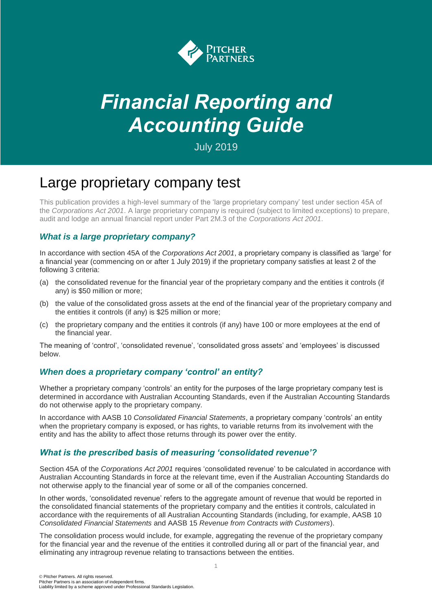

# *Financial Reporting and Accounting Guide*

July 2019

# Large proprietary company test

This publication provides a high-level summary of the 'large proprietary company' test under section 45A of the *Corporations Act 2001*. A large proprietary company is required (subject to limited exceptions) to prepare, audit and lodge an annual financial report under Part 2M.3 of the *Corporations Act 2001*.

# *What is a large proprietary company?*

In accordance with section 45A of the *Corporations Act 2001*, a proprietary company is classified as 'large' for a financial year (commencing on or after 1 July 2019) if the proprietary company satisfies at least 2 of the following 3 criteria:

- (a) the consolidated revenue for the financial year of the proprietary company and the entities it controls (if any) is \$50 million or more;
- (b) the value of the consolidated gross assets at the end of the financial year of the proprietary company and the entities it controls (if any) is \$25 million or more;
- (c) the proprietary company and the entities it controls (if any) have 100 or more employees at the end of the financial year.

The meaning of 'control', 'consolidated revenue', 'consolidated gross assets' and 'employees' is discussed below.

## *When does a proprietary company 'control' an entity?*

Whether a proprietary company 'controls' an entity for the purposes of the large proprietary company test is determined in accordance with Australian Accounting Standards, even if the Australian Accounting Standards do not otherwise apply to the proprietary company.

In accordance with AASB 10 *Consolidated Financial Statements*, a proprietary company 'controls' an entity when the proprietary company is exposed, or has rights, to variable returns from its involvement with the entity and has the ability to affect those returns through its power over the entity.

## *What is the prescribed basis of measuring 'consolidated revenue'?*

Section 45A of the *Corporations Act 2001* requires 'consolidated revenue' to be calculated in accordance with Australian Accounting Standards in force at the relevant time, even if the Australian Accounting Standards do not otherwise apply to the financial year of some or all of the companies concerned.

In other words, 'consolidated revenue' refers to the aggregate amount of revenue that would be reported in the consolidated financial statements of the proprietary company and the entities it controls, calculated in accordance with the requirements of all Australian Accounting Standards (including, for example, AASB 10 *Consolidated Financial Statements* and AASB 15 *Revenue from Contracts with Customers*).

The consolidation process would include, for example, aggregating the revenue of the proprietary company for the financial year and the revenue of the entities it controlled during all or part of the financial year, and eliminating any intragroup revenue relating to transactions between the entities.